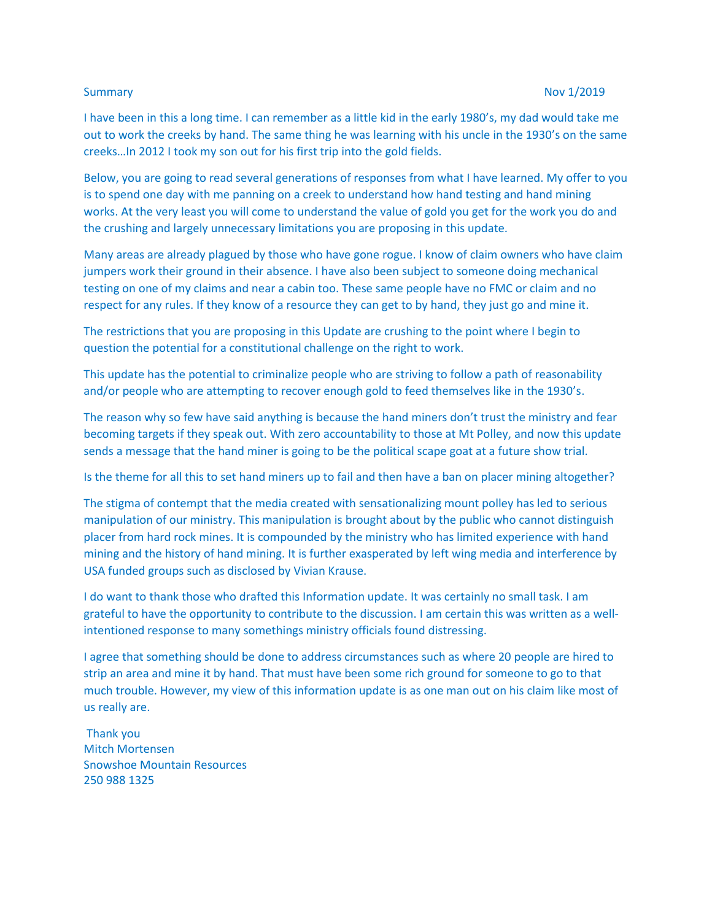I have been in this a long time. I can remember as a little kid in the early 1980's, my dad would take me out to work the creeks by hand. The same thing he was learning with his uncle in the 1930's on the same creeks…In 2012 I took my son out for his first trip into the gold fields.

Below, you are going to read several generations of responses from what I have learned. My offer to you is to spend one day with me panning on a creek to understand how hand testing and hand mining works. At the very least you will come to understand the value of gold you get for the work you do and the crushing and largely unnecessary limitations you are proposing in this update.

Many areas are already plagued by those who have gone rogue. I know of claim owners who have claim jumpers work their ground in their absence. I have also been subject to someone doing mechanical testing on one of my claims and near a cabin too. These same people have no FMC or claim and no respect for any rules. If they know of a resource they can get to by hand, they just go and mine it.

The restrictions that you are proposing in this Update are crushing to the point where I begin to question the potential for a constitutional challenge on the right to work.

This update has the potential to criminalize people who are striving to follow a path of reasonability and/or people who are attempting to recover enough gold to feed themselves like in the 1930's.

The reason why so few have said anything is because the hand miners don't trust the ministry and fear becoming targets if they speak out. With zero accountability to those at Mt Polley, and now this update sends a message that the hand miner is going to be the political scape goat at a future show trial.

Is the theme for all this to set hand miners up to fail and then have a ban on placer mining altogether?

The stigma of contempt that the media created with sensationalizing mount polley has led to serious manipulation of our ministry. This manipulation is brought about by the public who cannot distinguish placer from hard rock mines. It is compounded by the ministry who has limited experience with hand mining and the history of hand mining. It is further exasperated by left wing media and interference by USA funded groups such as disclosed by Vivian Krause.

I do want to thank those who drafted this Information update. It was certainly no small task. I am grateful to have the opportunity to contribute to the discussion. I am certain this was written as a wellintentioned response to many somethings ministry officials found distressing.

I agree that something should be done to address circumstances such as where 20 people are hired to strip an area and mine it by hand. That must have been some rich ground for someone to go to that much trouble. However, my view of this information update is as one man out on his claim like most of us really are.

Thank you Mitch Mortensen Snowshoe Mountain Resources 250 988 1325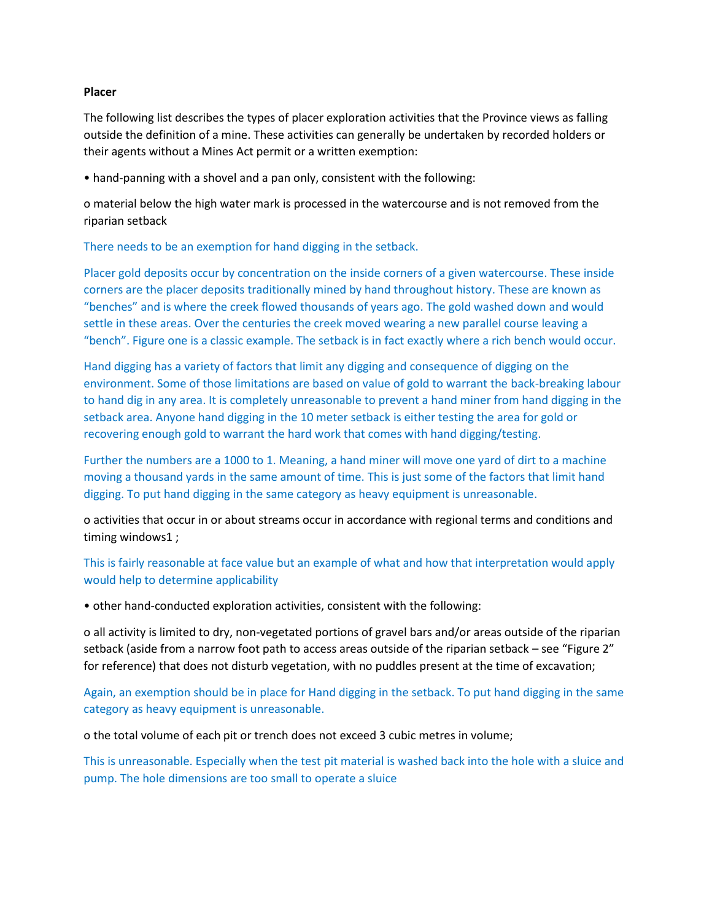## **Placer**

The following list describes the types of placer exploration activities that the Province views as falling outside the definition of a mine. These activities can generally be undertaken by recorded holders or their agents without a Mines Act permit or a written exemption:

• hand-panning with a shovel and a pan only, consistent with the following:

o material below the high water mark is processed in the watercourse and is not removed from the riparian setback

There needs to be an exemption for hand digging in the setback.

Placer gold deposits occur by concentration on the inside corners of a given watercourse. These inside corners are the placer deposits traditionally mined by hand throughout history. These are known as "benches" and is where the creek flowed thousands of years ago. The gold washed down and would settle in these areas. Over the centuries the creek moved wearing a new parallel course leaving a "bench". Figure one is a classic example. The setback is in fact exactly where a rich bench would occur.

Hand digging has a variety of factors that limit any digging and consequence of digging on the environment. Some of those limitations are based on value of gold to warrant the back-breaking labour to hand dig in any area. It is completely unreasonable to prevent a hand miner from hand digging in the setback area. Anyone hand digging in the 10 meter setback is either testing the area for gold or recovering enough gold to warrant the hard work that comes with hand digging/testing.

Further the numbers are a 1000 to 1. Meaning, a hand miner will move one yard of dirt to a machine moving a thousand yards in the same amount of time. This is just some of the factors that limit hand digging. To put hand digging in the same category as heavy equipment is unreasonable.

o activities that occur in or about streams occur in accordance with regional terms and conditions and timing windows1 ;

This is fairly reasonable at face value but an example of what and how that interpretation would apply would help to determine applicability

• other hand-conducted exploration activities, consistent with the following:

o all activity is limited to dry, non-vegetated portions of gravel bars and/or areas outside of the riparian setback (aside from a narrow foot path to access areas outside of the riparian setback – see "Figure 2" for reference) that does not disturb vegetation, with no puddles present at the time of excavation;

Again, an exemption should be in place for Hand digging in the setback. To put hand digging in the same category as heavy equipment is unreasonable.

o the total volume of each pit or trench does not exceed 3 cubic metres in volume;

This is unreasonable. Especially when the test pit material is washed back into the hole with a sluice and pump. The hole dimensions are too small to operate a sluice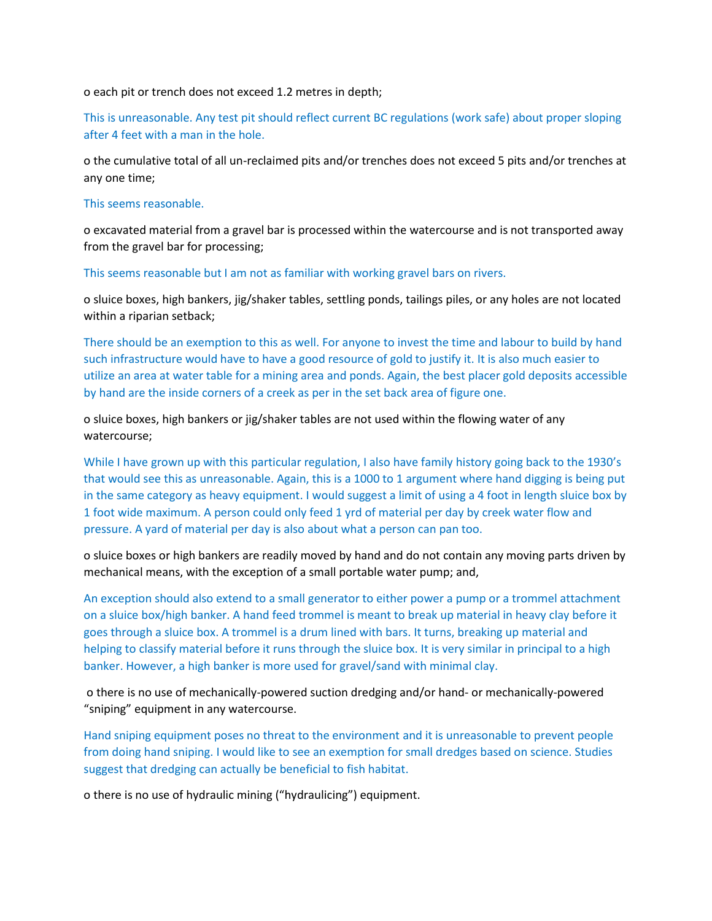o each pit or trench does not exceed 1.2 metres in depth;

This is unreasonable. Any test pit should reflect current BC regulations (work safe) about proper sloping after 4 feet with a man in the hole.

o the cumulative total of all un-reclaimed pits and/or trenches does not exceed 5 pits and/or trenches at any one time;

## This seems reasonable.

o excavated material from a gravel bar is processed within the watercourse and is not transported away from the gravel bar for processing;

This seems reasonable but I am not as familiar with working gravel bars on rivers.

o sluice boxes, high bankers, jig/shaker tables, settling ponds, tailings piles, or any holes are not located within a riparian setback;

There should be an exemption to this as well. For anyone to invest the time and labour to build by hand such infrastructure would have to have a good resource of gold to justify it. It is also much easier to utilize an area at water table for a mining area and ponds. Again, the best placer gold deposits accessible by hand are the inside corners of a creek as per in the set back area of figure one.

o sluice boxes, high bankers or jig/shaker tables are not used within the flowing water of any watercourse;

While I have grown up with this particular regulation, I also have family history going back to the 1930's that would see this as unreasonable. Again, this is a 1000 to 1 argument where hand digging is being put in the same category as heavy equipment. I would suggest a limit of using a 4 foot in length sluice box by 1 foot wide maximum. A person could only feed 1 yrd of material per day by creek water flow and pressure. A yard of material per day is also about what a person can pan too.

o sluice boxes or high bankers are readily moved by hand and do not contain any moving parts driven by mechanical means, with the exception of a small portable water pump; and,

An exception should also extend to a small generator to either power a pump or a trommel attachment on a sluice box/high banker. A hand feed trommel is meant to break up material in heavy clay before it goes through a sluice box. A trommel is a drum lined with bars. It turns, breaking up material and helping to classify material before it runs through the sluice box. It is very similar in principal to a high banker. However, a high banker is more used for gravel/sand with minimal clay.

o there is no use of mechanically-powered suction dredging and/or hand- or mechanically-powered "sniping" equipment in any watercourse.

Hand sniping equipment poses no threat to the environment and it is unreasonable to prevent people from doing hand sniping. I would like to see an exemption for small dredges based on science. Studies suggest that dredging can actually be beneficial to fish habitat.

o there is no use of hydraulic mining ("hydraulicing") equipment.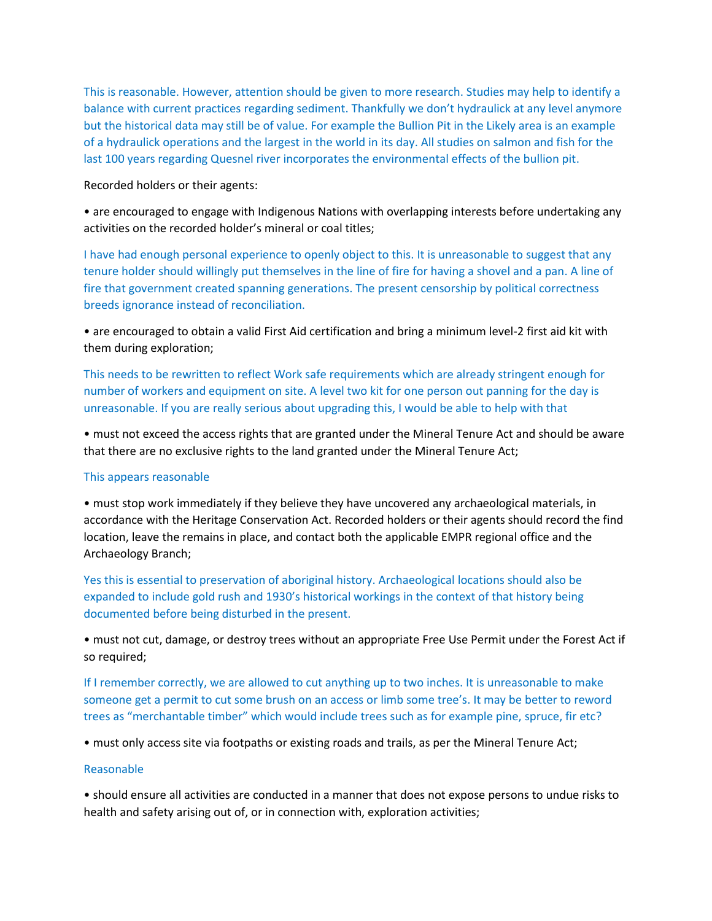This is reasonable. However, attention should be given to more research. Studies may help to identify a balance with current practices regarding sediment. Thankfully we don't hydraulick at any level anymore but the historical data may still be of value. For example the Bullion Pit in the Likely area is an example of a hydraulick operations and the largest in the world in its day. All studies on salmon and fish for the last 100 years regarding Quesnel river incorporates the environmental effects of the bullion pit.

Recorded holders or their agents:

• are encouraged to engage with Indigenous Nations with overlapping interests before undertaking any activities on the recorded holder's mineral or coal titles;

I have had enough personal experience to openly object to this. It is unreasonable to suggest that any tenure holder should willingly put themselves in the line of fire for having a shovel and a pan. A line of fire that government created spanning generations. The present censorship by political correctness breeds ignorance instead of reconciliation.

• are encouraged to obtain a valid First Aid certification and bring a minimum level-2 first aid kit with them during exploration;

This needs to be rewritten to reflect Work safe requirements which are already stringent enough for number of workers and equipment on site. A level two kit for one person out panning for the day is unreasonable. If you are really serious about upgrading this, I would be able to help with that

• must not exceed the access rights that are granted under the Mineral Tenure Act and should be aware that there are no exclusive rights to the land granted under the Mineral Tenure Act;

## This appears reasonable

• must stop work immediately if they believe they have uncovered any archaeological materials, in accordance with the Heritage Conservation Act. Recorded holders or their agents should record the find location, leave the remains in place, and contact both the applicable EMPR regional office and the Archaeology Branch;

Yes this is essential to preservation of aboriginal history. Archaeological locations should also be expanded to include gold rush and 1930's historical workings in the context of that history being documented before being disturbed in the present.

• must not cut, damage, or destroy trees without an appropriate Free Use Permit under the Forest Act if so required;

If I remember correctly, we are allowed to cut anything up to two inches. It is unreasonable to make someone get a permit to cut some brush on an access or limb some tree's. It may be better to reword trees as "merchantable timber" which would include trees such as for example pine, spruce, fir etc?

• must only access site via footpaths or existing roads and trails, as per the Mineral Tenure Act;

# Reasonable

• should ensure all activities are conducted in a manner that does not expose persons to undue risks to health and safety arising out of, or in connection with, exploration activities;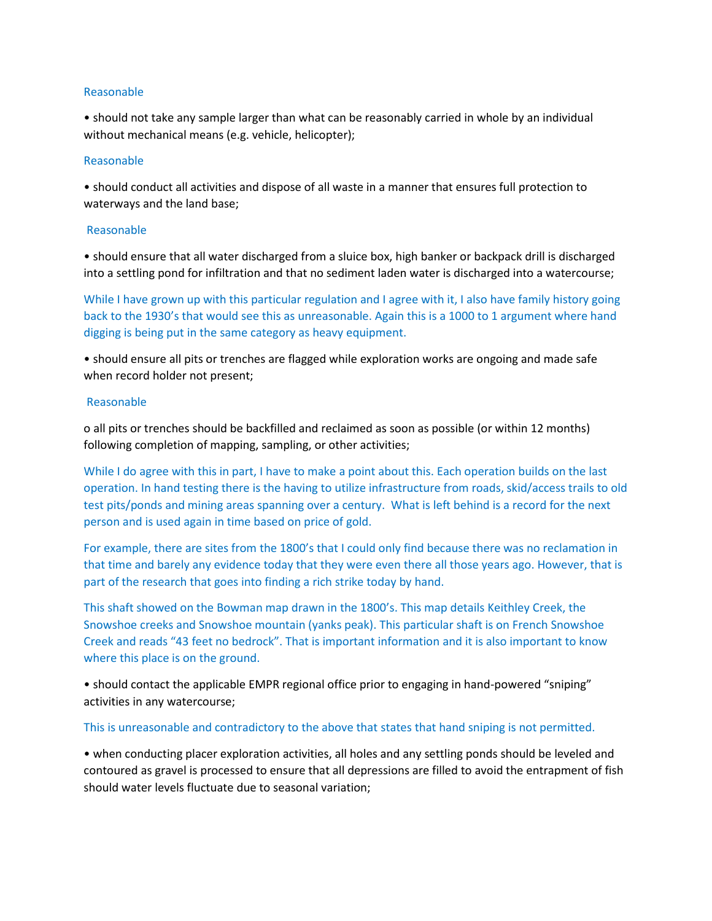## Reasonable

• should not take any sample larger than what can be reasonably carried in whole by an individual without mechanical means (e.g. vehicle, helicopter);

# Reasonable

• should conduct all activities and dispose of all waste in a manner that ensures full protection to waterways and the land base;

## Reasonable

• should ensure that all water discharged from a sluice box, high banker or backpack drill is discharged into a settling pond for infiltration and that no sediment laden water is discharged into a watercourse;

While I have grown up with this particular regulation and I agree with it, I also have family history going back to the 1930's that would see this as unreasonable. Again this is a 1000 to 1 argument where hand digging is being put in the same category as heavy equipment.

• should ensure all pits or trenches are flagged while exploration works are ongoing and made safe when record holder not present;

### Reasonable

o all pits or trenches should be backfilled and reclaimed as soon as possible (or within 12 months) following completion of mapping, sampling, or other activities;

While I do agree with this in part, I have to make a point about this. Each operation builds on the last operation. In hand testing there is the having to utilize infrastructure from roads, skid/access trails to old test pits/ponds and mining areas spanning over a century. What is left behind is a record for the next person and is used again in time based on price of gold.

For example, there are sites from the 1800's that I could only find because there was no reclamation in that time and barely any evidence today that they were even there all those years ago. However, that is part of the research that goes into finding a rich strike today by hand.

This shaft showed on the Bowman map drawn in the 1800's. This map details Keithley Creek, the Snowshoe creeks and Snowshoe mountain (yanks peak). This particular shaft is on French Snowshoe Creek and reads "43 feet no bedrock". That is important information and it is also important to know where this place is on the ground.

• should contact the applicable EMPR regional office prior to engaging in hand-powered "sniping" activities in any watercourse;

## This is unreasonable and contradictory to the above that states that hand sniping is not permitted.

• when conducting placer exploration activities, all holes and any settling ponds should be leveled and contoured as gravel is processed to ensure that all depressions are filled to avoid the entrapment of fish should water levels fluctuate due to seasonal variation;